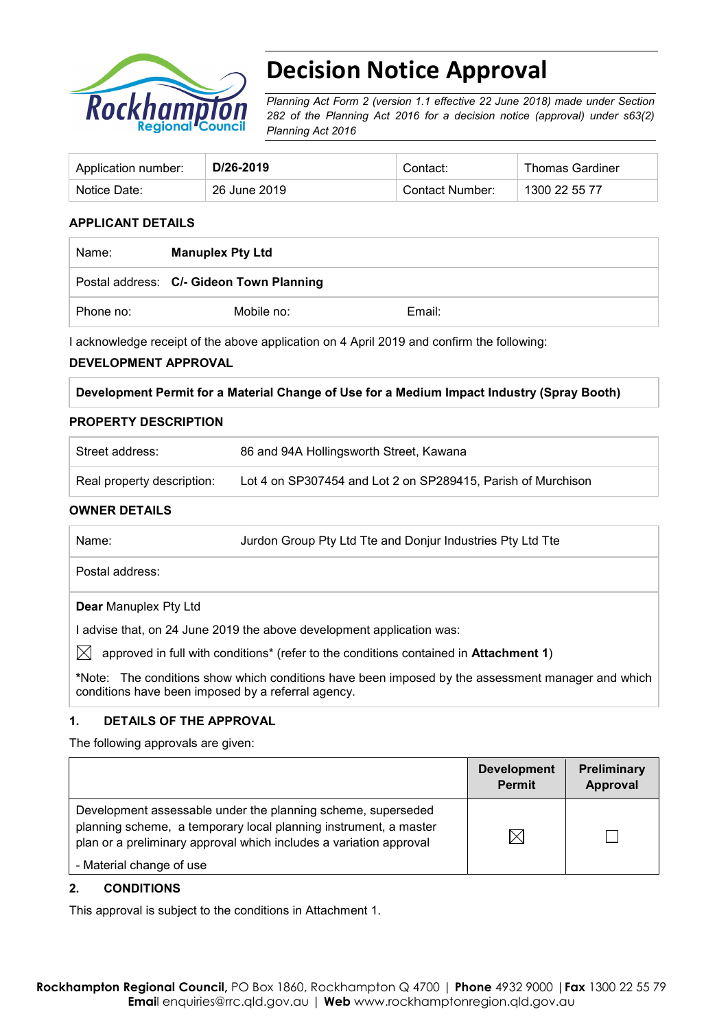

# **Decision Notice Approval**

*Planning Act Form 2 (version 1.1 effective 22 June 2018) made under Section 282 of the Planning Act 2016 for a decision notice (approval) under s63(2) Planning Act 2016*

| Application number: | D/26-2019    | Contact:        | <b>Thomas Gardiner</b> |
|---------------------|--------------|-----------------|------------------------|
| Notice Date:        | 26 June 2019 | Contact Number: | 1300 22 55 77          |

### **APPLICANT DETAILS**

| Name:     | <b>Manuplex Pty Ltd</b>                  |        |  |
|-----------|------------------------------------------|--------|--|
|           | Postal address: C/- Gideon Town Planning |        |  |
| Phone no: | Mobile no:                               | Email: |  |

I acknowledge receipt of the above application on 4 April 2019 and confirm the following:

#### **DEVELOPMENT APPROVAL**

#### **Development Permit for a Material Change of Use for a Medium Impact Industry (Spray Booth)**

#### **PROPERTY DESCRIPTION**

| Street address:            | 86 and 94A Hollingsworth Street, Kawana                      |
|----------------------------|--------------------------------------------------------------|
| Real property description: | Lot 4 on SP307454 and Lot 2 on SP289415, Parish of Murchison |

#### **OWNER DETAILS**

| Name: | Jurdon Group Pty Ltd Tte and Donjur Industries Pty Ltd Tte |
|-------|------------------------------------------------------------|
|       |                                                            |

Postal address:

#### **Dear** Manuplex Pty Ltd

I advise that, on 24 June 2019 the above development application was:

 $\boxtimes$  approved in full with conditions<sup>\*</sup> (refer to the conditions contained in **Attachment 1**)

**\***Note:The conditions show which conditions have been imposed by the assessment manager and which conditions have been imposed by a referral agency.

#### **1. DETAILS OF THE APPROVAL**

The following approvals are given:

|                                                                                                                                                                                                        | <b>Development</b><br><b>Permit</b> | Preliminary<br>Approval |
|--------------------------------------------------------------------------------------------------------------------------------------------------------------------------------------------------------|-------------------------------------|-------------------------|
| Development assessable under the planning scheme, superseded<br>planning scheme, a temporary local planning instrument, a master<br>plan or a preliminary approval which includes a variation approval | IX                                  |                         |
| - Material change of use                                                                                                                                                                               |                                     |                         |

#### **2. CONDITIONS**

This approval is subject to the conditions in Attachment 1.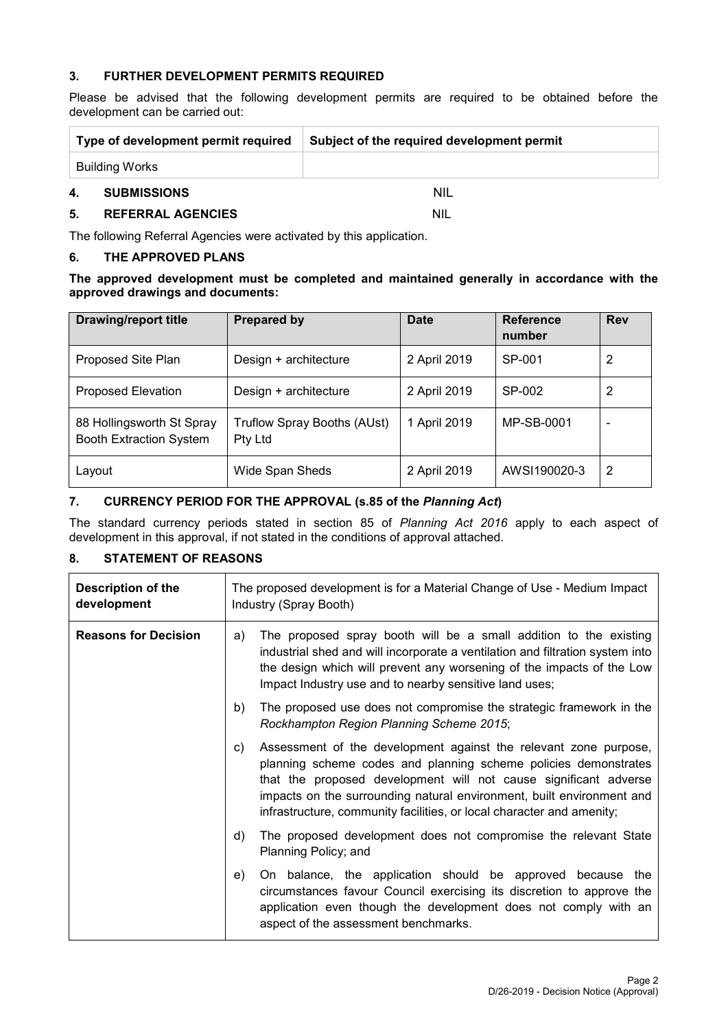#### **3. FURTHER DEVELOPMENT PERMITS REQUIRED**

Please be advised that the following development permits are required to be obtained before the development can be carried out:

| Type of development permit required |                    | Subject of the required development permit |
|-------------------------------------|--------------------|--------------------------------------------|
| Building Works                      |                    |                                            |
| 4.                                  | <b>SUBMISSIONS</b> | <b>NIL</b>                                 |

#### **5. REFERRAL AGENCIES** NIL

The following Referral Agencies were activated by this application.

#### **6. THE APPROVED PLANS**

**The approved development must be completed and maintained generally in accordance with the approved drawings and documents:**

| <b>Drawing/report title</b>                                 | <b>Prepared by</b>                     | <b>Date</b>  | <b>Reference</b><br>number | <b>Rev</b> |
|-------------------------------------------------------------|----------------------------------------|--------------|----------------------------|------------|
| Proposed Site Plan                                          | Design + architecture                  | 2 April 2019 | SP-001                     | 2          |
| <b>Proposed Elevation</b>                                   | Design + architecture                  | 2 April 2019 | SP-002                     | 2          |
| 88 Hollingsworth St Spray<br><b>Booth Extraction System</b> | Truflow Spray Booths (AUst)<br>Pty Ltd | 1 April 2019 | MP-SB-0001                 |            |
| Layout                                                      | Wide Span Sheds                        | 2 April 2019 | AWSI190020-3               | 2          |

#### **7. CURRENCY PERIOD FOR THE APPROVAL (s.85 of the** *Planning Act***)**

The standard currency periods stated in section 85 of *Planning Act 2016* apply to each aspect of development in this approval, if not stated in the conditions of approval attached.

## **8. STATEMENT OF REASONS**

| Description of the<br>development | The proposed development is for a Material Change of Use - Medium Impact<br>Industry (Spray Booth)                                                                                                                                                                                                                                                              |  |  |
|-----------------------------------|-----------------------------------------------------------------------------------------------------------------------------------------------------------------------------------------------------------------------------------------------------------------------------------------------------------------------------------------------------------------|--|--|
| <b>Reasons for Decision</b>       | The proposed spray booth will be a small addition to the existing<br>a)<br>industrial shed and will incorporate a ventilation and filtration system into<br>the design which will prevent any worsening of the impacts of the Low<br>Impact Industry use and to nearby sensitive land uses;                                                                     |  |  |
|                                   | The proposed use does not compromise the strategic framework in the<br>b)<br>Rockhampton Region Planning Scheme 2015;                                                                                                                                                                                                                                           |  |  |
|                                   | Assessment of the development against the relevant zone purpose,<br>C)<br>planning scheme codes and planning scheme policies demonstrates<br>that the proposed development will not cause significant adverse<br>impacts on the surrounding natural environment, built environment and<br>infrastructure, community facilities, or local character and amenity; |  |  |
|                                   | The proposed development does not compromise the relevant State<br>d)<br>Planning Policy; and                                                                                                                                                                                                                                                                   |  |  |
|                                   | On balance, the application should be approved because the<br>e)<br>circumstances favour Council exercising its discretion to approve the<br>application even though the development does not comply with an<br>aspect of the assessment benchmarks.                                                                                                            |  |  |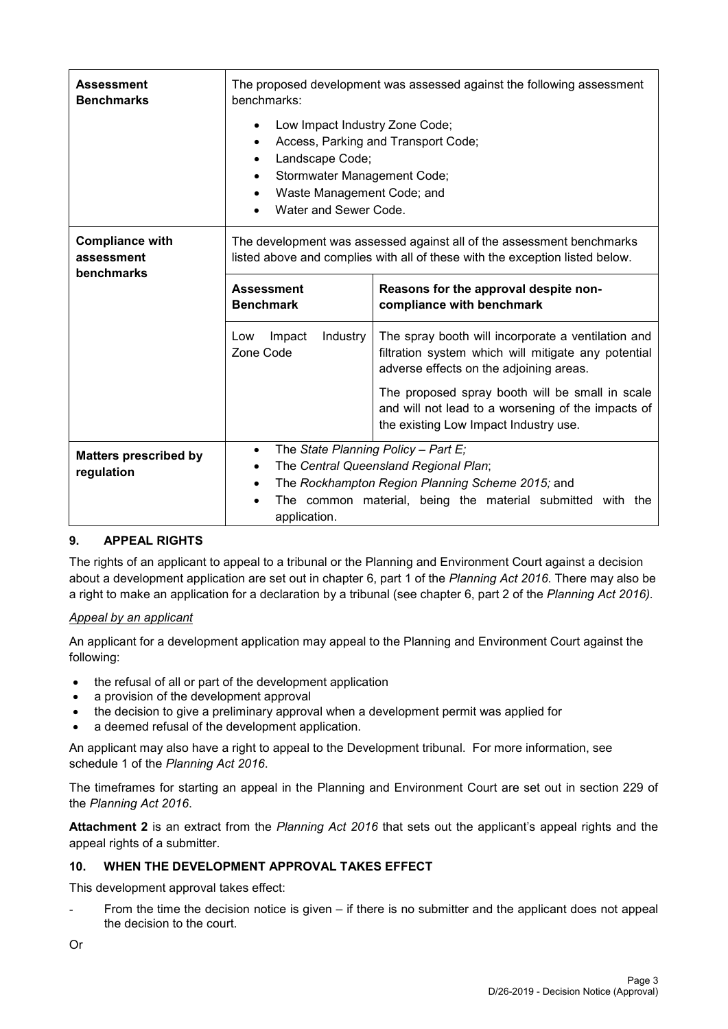| <b>Assessment</b><br><b>Benchmarks</b>             | The proposed development was assessed against the following assessment<br>benchmarks:                                                                                                                                          |                                                                                                                                                |  |  |
|----------------------------------------------------|--------------------------------------------------------------------------------------------------------------------------------------------------------------------------------------------------------------------------------|------------------------------------------------------------------------------------------------------------------------------------------------|--|--|
|                                                    | Low Impact Industry Zone Code;<br>Access, Parking and Transport Code;<br>Landscape Code;<br>Stormwater Management Code;<br>Waste Management Code; and<br>Water and Sewer Code.                                                 |                                                                                                                                                |  |  |
| <b>Compliance with</b><br>assessment<br>benchmarks | The development was assessed against all of the assessment benchmarks<br>listed above and complies with all of these with the exception listed below.                                                                          |                                                                                                                                                |  |  |
|                                                    | <b>Assessment</b><br><b>Benchmark</b>                                                                                                                                                                                          | Reasons for the approval despite non-<br>compliance with benchmark                                                                             |  |  |
|                                                    | The spray booth will incorporate a ventilation and<br>Impact<br>Industry<br>Low<br>Zone Code<br>filtration system which will mitigate any potential<br>adverse effects on the adjoining areas.                                 |                                                                                                                                                |  |  |
|                                                    |                                                                                                                                                                                                                                | The proposed spray booth will be small in scale<br>and will not lead to a worsening of the impacts of<br>the existing Low Impact Industry use. |  |  |
| <b>Matters prescribed by</b><br>regulation         | The State Planning Policy - Part $E_i$<br>$\bullet$<br>The Central Queensland Regional Plan;<br>The Rockhampton Region Planning Scheme 2015; and<br>The common material, being the material submitted with the<br>application. |                                                                                                                                                |  |  |

## **9. APPEAL RIGHTS**

The rights of an applicant to appeal to a tribunal or the Planning and Environment Court against a decision about a development application are set out in chapter 6, part 1 of the *Planning Act 2016*. There may also be a right to make an application for a declaration by a tribunal (see chapter 6, part 2 of the *Planning Act 2016).*

#### *Appeal by an applicant*

An applicant for a development application may appeal to the Planning and Environment Court against the following:

- the refusal of all or part of the development application
- a provision of the development approval
- the decision to give a preliminary approval when a development permit was applied for
- a deemed refusal of the development application.

An applicant may also have a right to appeal to the Development tribunal. For more information, see schedule 1 of the *Planning Act 2016*.

The timeframes for starting an appeal in the Planning and Environment Court are set out in section 229 of the *Planning Act 2016*.

**Attachment 2** is an extract from the *Planning Act 2016* that sets out the applicant's appeal rights and the appeal rights of a submitter.

#### **10. WHEN THE DEVELOPMENT APPROVAL TAKES EFFECT**

This development approval takes effect:

From the time the decision notice is given  $-$  if there is no submitter and the applicant does not appeal the decision to the court.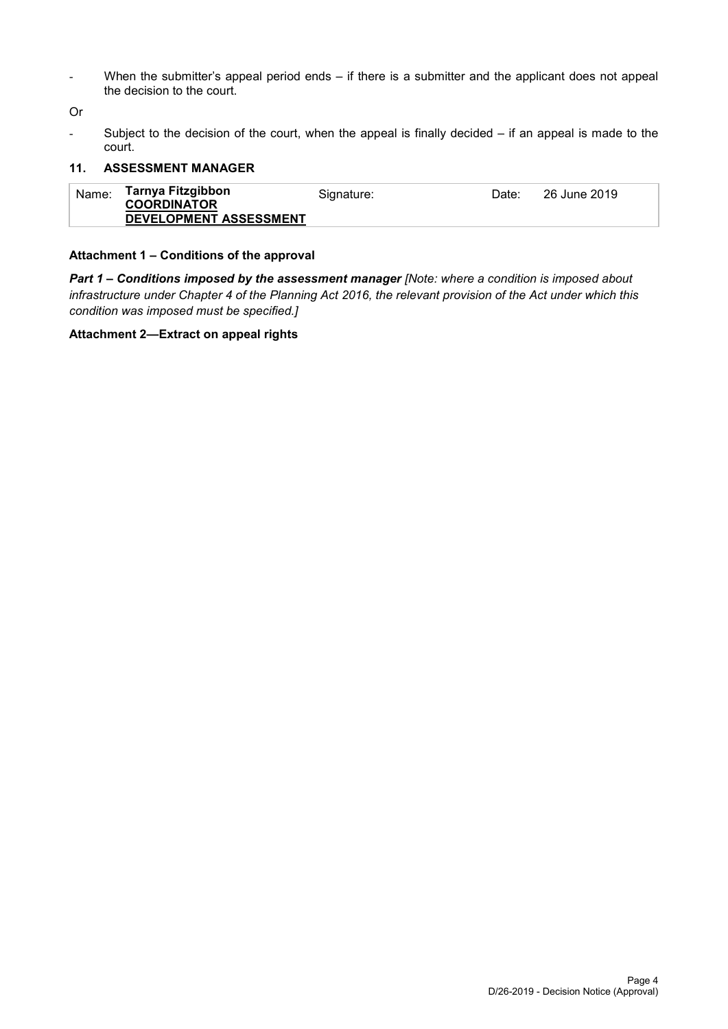- When the submitter's appeal period ends – if there is a submitter and the applicant does not appeal the decision to the court.

Or

- Subject to the decision of the court, when the appeal is finally decided – if an appeal is made to the court.

#### **11. ASSESSMENT MANAGER**

| Name: | Tarnya Fitzgibbon<br><b>COORDINATOR</b> | Signature: | Date: | 26 June 2019 |
|-------|-----------------------------------------|------------|-------|--------------|
|       | DEVELOPMENT ASSESSMENT                  |            |       |              |

### **Attachment 1 – Conditions of the approval**

*Part 1* **–** *Conditions imposed by the assessment manager [Note: where a condition is imposed about infrastructure under Chapter 4 of the Planning Act 2016, the relevant provision of the Act under which this condition was imposed must be specified.]*

#### **Attachment 2—Extract on appeal rights**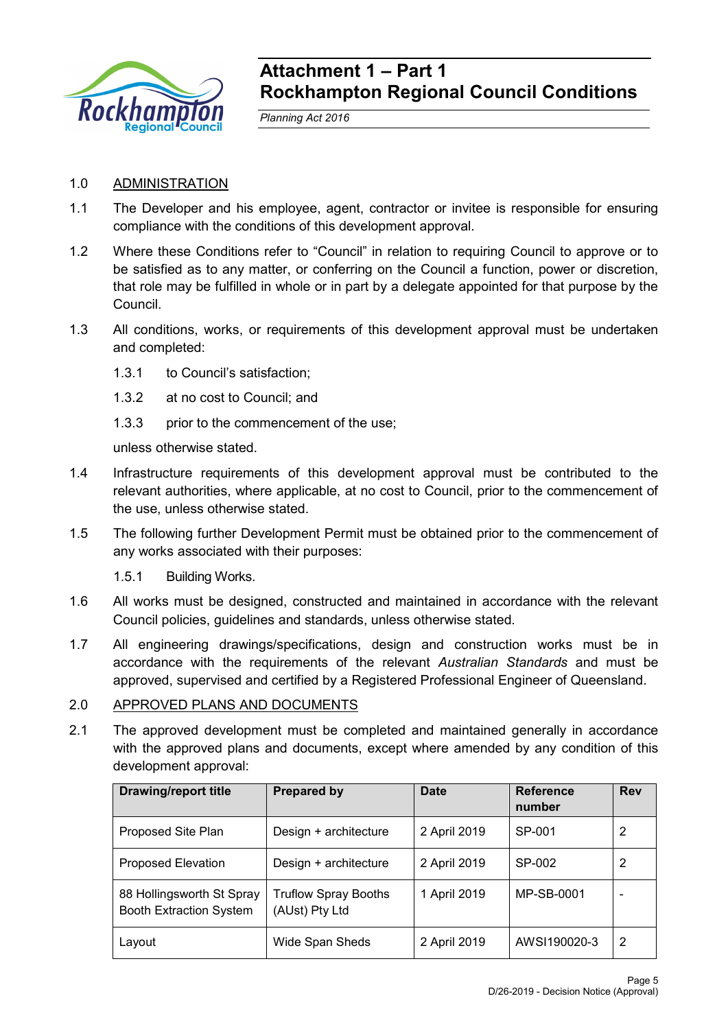

## **Attachment 1 – Part 1 Rockhampton Regional Council Conditions**

*Planning Act 2016*

## 1.0 ADMINISTRATION

- 1.1 The Developer and his employee, agent, contractor or invitee is responsible for ensuring compliance with the conditions of this development approval.
- 1.2 Where these Conditions refer to "Council" in relation to requiring Council to approve or to be satisfied as to any matter, or conferring on the Council a function, power or discretion, that role may be fulfilled in whole or in part by a delegate appointed for that purpose by the Council.
- 1.3 All conditions, works, or requirements of this development approval must be undertaken and completed:
	- 1.3.1 to Council's satisfaction;
	- 1.3.2 at no cost to Council; and
	- 1.3.3 prior to the commencement of the use;

unless otherwise stated.

- 1.4 Infrastructure requirements of this development approval must be contributed to the relevant authorities, where applicable, at no cost to Council, prior to the commencement of the use, unless otherwise stated.
- 1.5 The following further Development Permit must be obtained prior to the commencement of any works associated with their purposes:
	- 1.5.1 Building Works.
- 1.6 All works must be designed, constructed and maintained in accordance with the relevant Council policies, guidelines and standards, unless otherwise stated.
- 1.7 All engineering drawings/specifications, design and construction works must be in accordance with the requirements of the relevant *Australian Standards* and must be approved, supervised and certified by a Registered Professional Engineer of Queensland.

## 2.0 APPROVED PLANS AND DOCUMENTS

2.1 The approved development must be completed and maintained generally in accordance with the approved plans and documents, except where amended by any condition of this development approval:

| <b>Drawing/report title</b>                                 | <b>Prepared by</b>                            | Date         | <b>Reference</b><br>number | <b>Rev</b> |
|-------------------------------------------------------------|-----------------------------------------------|--------------|----------------------------|------------|
| Proposed Site Plan                                          | Design + architecture                         | 2 April 2019 | SP-001                     | 2          |
| <b>Proposed Elevation</b>                                   | Design + architecture                         | 2 April 2019 | SP-002                     | 2          |
| 88 Hollingsworth St Spray<br><b>Booth Extraction System</b> | <b>Truflow Spray Booths</b><br>(AUst) Pty Ltd | 1 April 2019 | MP-SB-0001                 |            |
| Layout                                                      | Wide Span Sheds                               | 2 April 2019 | AWSI190020-3               | 2          |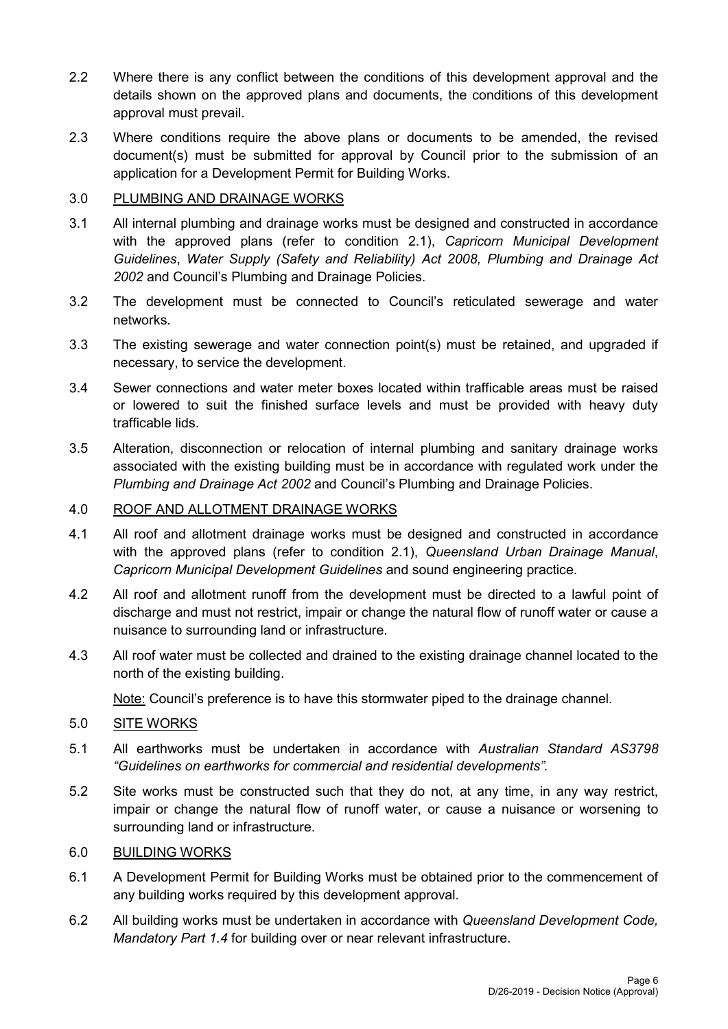- 2.2 Where there is any conflict between the conditions of this development approval and the details shown on the approved plans and documents, the conditions of this development approval must prevail.
- 2.3 Where conditions require the above plans or documents to be amended, the revised document(s) must be submitted for approval by Council prior to the submission of an application for a Development Permit for Building Works.

## 3.0 PLUMBING AND DRAINAGE WORKS

- 3.1 All internal plumbing and drainage works must be designed and constructed in accordance with the approved plans (refer to condition 2.1), *Capricorn Municipal Development Guidelines*, *Water Supply (Safety and Reliability) Act 2008, Plumbing and Drainage Act 2002* and Council's Plumbing and Drainage Policies.
- 3.2 The development must be connected to Council's reticulated sewerage and water networks.
- 3.3 The existing sewerage and water connection point(s) must be retained, and upgraded if necessary, to service the development.
- 3.4 Sewer connections and water meter boxes located within trafficable areas must be raised or lowered to suit the finished surface levels and must be provided with heavy duty trafficable lids.
- 3.5 Alteration, disconnection or relocation of internal plumbing and sanitary drainage works associated with the existing building must be in accordance with regulated work under the *Plumbing and Drainage Act 2002* and Council's Plumbing and Drainage Policies.

## 4.0 ROOF AND ALLOTMENT DRAINAGE WORKS

- 4.1 All roof and allotment drainage works must be designed and constructed in accordance with the approved plans (refer to condition 2.1), *Queensland Urban Drainage Manual*, *Capricorn Municipal Development Guidelines* and sound engineering practice.
- 4.2 All roof and allotment runoff from the development must be directed to a lawful point of discharge and must not restrict, impair or change the natural flow of runoff water or cause a nuisance to surrounding land or infrastructure.
- 4.3 All roof water must be collected and drained to the existing drainage channel located to the north of the existing building.

Note: Council's preference is to have this stormwater piped to the drainage channel.

- 5.0 SITE WORKS
- 5.1 All earthworks must be undertaken in accordance with *Australian Standard AS3798 "Guidelines on earthworks for commercial and residential developments".*
- 5.2 Site works must be constructed such that they do not, at any time, in any way restrict, impair or change the natural flow of runoff water, or cause a nuisance or worsening to surrounding land or infrastructure.

## 6.0 BUILDING WORKS

- 6.1 A Development Permit for Building Works must be obtained prior to the commencement of any building works required by this development approval.
- 6.2 All building works must be undertaken in accordance with *Queensland Development Code, Mandatory Part 1.4* for building over or near relevant infrastructure.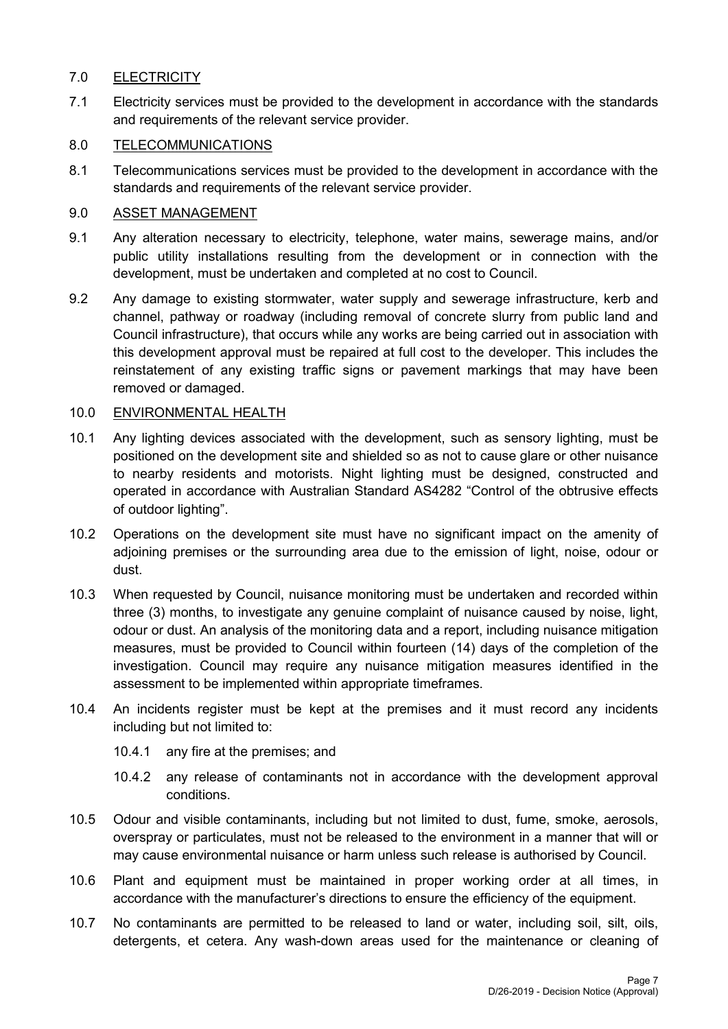## 7.0 ELECTRICITY

7.1 Electricity services must be provided to the development in accordance with the standards and requirements of the relevant service provider.

## 8.0 TELECOMMUNICATIONS

8.1 Telecommunications services must be provided to the development in accordance with the standards and requirements of the relevant service provider.

## 9.0 ASSET MANAGEMENT

- 9.1 Any alteration necessary to electricity, telephone, water mains, sewerage mains, and/or public utility installations resulting from the development or in connection with the development, must be undertaken and completed at no cost to Council.
- 9.2 Any damage to existing stormwater, water supply and sewerage infrastructure, kerb and channel, pathway or roadway (including removal of concrete slurry from public land and Council infrastructure), that occurs while any works are being carried out in association with this development approval must be repaired at full cost to the developer. This includes the reinstatement of any existing traffic signs or pavement markings that may have been removed or damaged.

## 10.0 ENVIRONMENTAL HEALTH

- 10.1 Any lighting devices associated with the development, such as sensory lighting, must be positioned on the development site and shielded so as not to cause glare or other nuisance to nearby residents and motorists. Night lighting must be designed, constructed and operated in accordance with Australian Standard AS4282 "Control of the obtrusive effects of outdoor lighting".
- 10.2 Operations on the development site must have no significant impact on the amenity of adjoining premises or the surrounding area due to the emission of light, noise, odour or dust.
- 10.3 When requested by Council, nuisance monitoring must be undertaken and recorded within three (3) months, to investigate any genuine complaint of nuisance caused by noise, light, odour or dust. An analysis of the monitoring data and a report, including nuisance mitigation measures, must be provided to Council within fourteen (14) days of the completion of the investigation. Council may require any nuisance mitigation measures identified in the assessment to be implemented within appropriate timeframes.
- 10.4 An incidents register must be kept at the premises and it must record any incidents including but not limited to:
	- 10.4.1 any fire at the premises; and
	- 10.4.2 any release of contaminants not in accordance with the development approval conditions.
- 10.5 Odour and visible contaminants, including but not limited to dust, fume, smoke, aerosols, overspray or particulates, must not be released to the environment in a manner that will or may cause environmental nuisance or harm unless such release is authorised by Council.
- 10.6 Plant and equipment must be maintained in proper working order at all times, in accordance with the manufacturer's directions to ensure the efficiency of the equipment.
- 10.7 No contaminants are permitted to be released to land or water, including soil, silt, oils, detergents, et cetera. Any wash-down areas used for the maintenance or cleaning of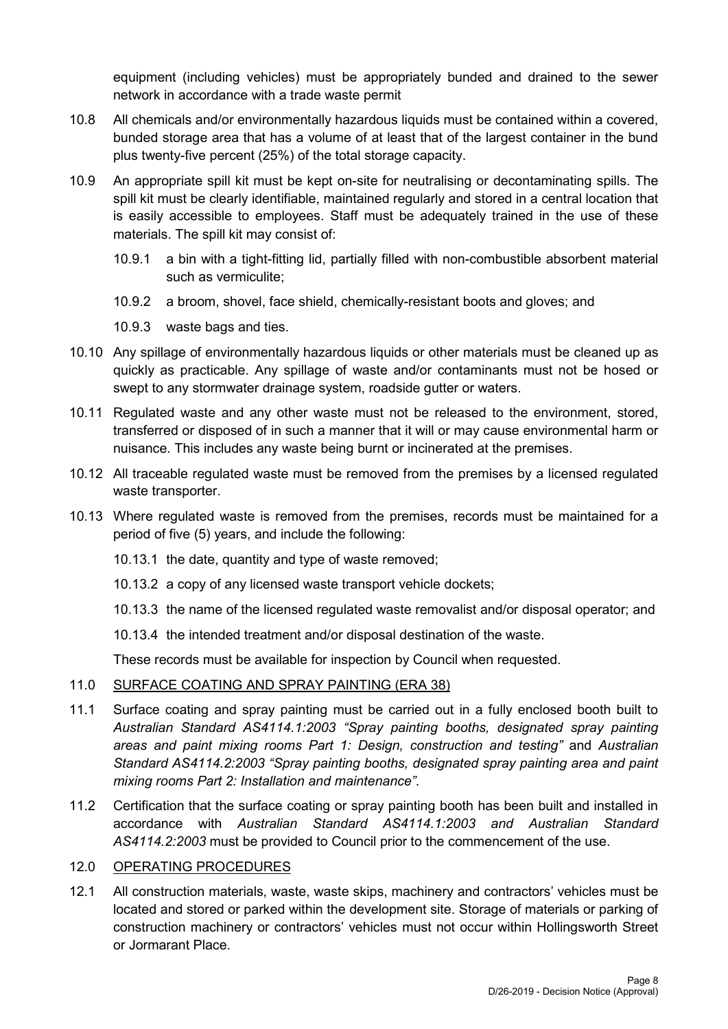equipment (including vehicles) must be appropriately bunded and drained to the sewer network in accordance with a trade waste permit

- 10.8 All chemicals and/or environmentally hazardous liquids must be contained within a covered, bunded storage area that has a volume of at least that of the largest container in the bund plus twenty-five percent (25%) of the total storage capacity.
- 10.9 An appropriate spill kit must be kept on-site for neutralising or decontaminating spills. The spill kit must be clearly identifiable, maintained regularly and stored in a central location that is easily accessible to employees. Staff must be adequately trained in the use of these materials. The spill kit may consist of:
	- 10.9.1 a bin with a tight-fitting lid, partially filled with non-combustible absorbent material such as vermiculite;
	- 10.9.2 a broom, shovel, face shield, chemically-resistant boots and gloves; and
	- 10.9.3 waste bags and ties.
- 10.10 Any spillage of environmentally hazardous liquids or other materials must be cleaned up as quickly as practicable. Any spillage of waste and/or contaminants must not be hosed or swept to any stormwater drainage system, roadside gutter or waters.
- 10.11 Regulated waste and any other waste must not be released to the environment, stored, transferred or disposed of in such a manner that it will or may cause environmental harm or nuisance. This includes any waste being burnt or incinerated at the premises.
- 10.12 All traceable regulated waste must be removed from the premises by a licensed regulated waste transporter.
- 10.13 Where regulated waste is removed from the premises, records must be maintained for a period of five (5) years, and include the following:
	- 10.13.1 the date, quantity and type of waste removed;
	- 10.13.2 a copy of any licensed waste transport vehicle dockets;
	- 10.13.3 the name of the licensed regulated waste removalist and/or disposal operator; and
	- 10.13.4 the intended treatment and/or disposal destination of the waste.

These records must be available for inspection by Council when requested.

## 11.0 SURFACE COATING AND SPRAY PAINTING (ERA 38)

- 11.1 Surface coating and spray painting must be carried out in a fully enclosed booth built to *Australian Standard AS4114.1:2003 "Spray painting booths, designated spray painting areas and paint mixing rooms Part 1: Design, construction and testing"* and *Australian Standard AS4114.2:2003 "Spray painting booths, designated spray painting area and paint mixing rooms Part 2: Installation and maintenance"*.
- 11.2 Certification that the surface coating or spray painting booth has been built and installed in accordance with *Australian Standard AS4114.1:2003 and Australian Standard AS4114.2:2003* must be provided to Council prior to the commencement of the use.

## 12.0 OPERATING PROCEDURES

12.1 All construction materials, waste, waste skips, machinery and contractors' vehicles must be located and stored or parked within the development site. Storage of materials or parking of construction machinery or contractors' vehicles must not occur within Hollingsworth Street or Jormarant Place.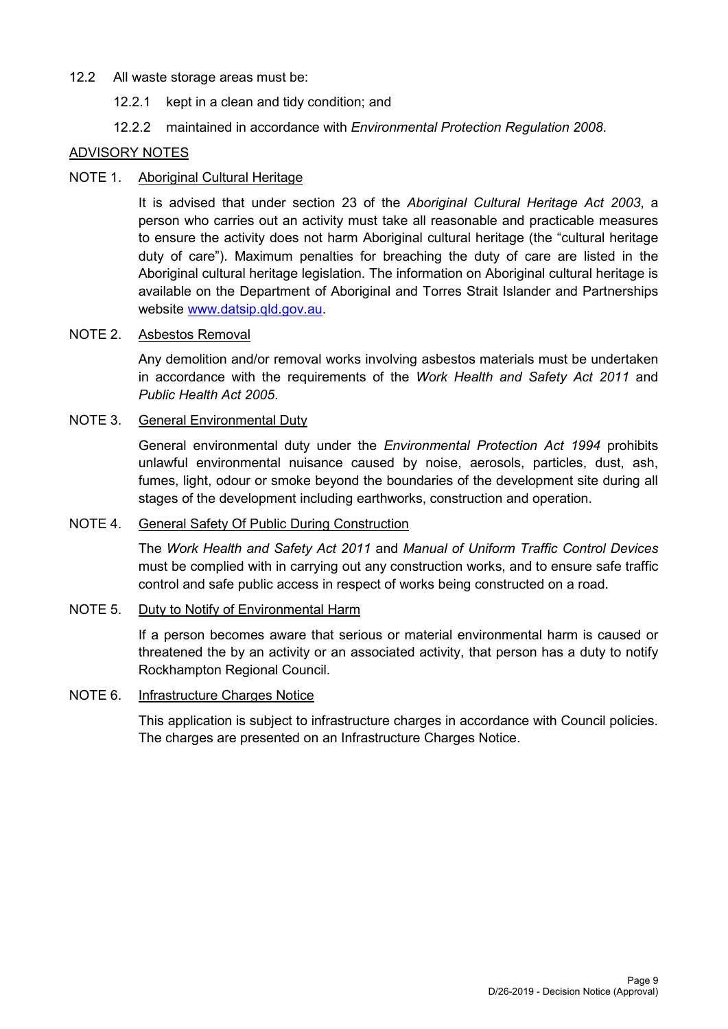## 12.2 All waste storage areas must be:

- 12.2.1 kept in a clean and tidy condition; and
- 12.2.2 maintained in accordance with *Environmental Protection Regulation 2008*.

## ADVISORY NOTES

## NOTE 1. Aboriginal Cultural Heritage

It is advised that under section 23 of the *Aboriginal Cultural Heritage Act 2003*, a person who carries out an activity must take all reasonable and practicable measures to ensure the activity does not harm Aboriginal cultural heritage (the "cultural heritage duty of care"). Maximum penalties for breaching the duty of care are listed in the Aboriginal cultural heritage legislation. The information on Aboriginal cultural heritage is available on the Department of Aboriginal and Torres Strait Islander and Partnerships website [www.datsip.qld.gov.au.](http://www.datsip.qld.gov.au/)

## NOTE 2. Asbestos Removal

Any demolition and/or removal works involving asbestos materials must be undertaken in accordance with the requirements of the *Work Health and Safety Act 2011* and *Public Health Act 2005*.

## NOTE 3. General Environmental Duty

General environmental duty under the *Environmental Protection Act 1994* prohibits unlawful environmental nuisance caused by noise, aerosols, particles, dust, ash, fumes, light, odour or smoke beyond the boundaries of the development site during all stages of the development including earthworks, construction and operation.

## NOTE 4. General Safety Of Public During Construction

The *Work Health and Safety Act 2011* and *Manual of Uniform Traffic Control Devices* must be complied with in carrying out any construction works, and to ensure safe traffic control and safe public access in respect of works being constructed on a road.

## NOTE 5. Duty to Notify of Environmental Harm

If a person becomes aware that serious or material environmental harm is caused or threatened the by an activity or an associated activity, that person has a duty to notify Rockhampton Regional Council.

## NOTE 6. Infrastructure Charges Notice

This application is subject to infrastructure charges in accordance with Council policies. The charges are presented on an Infrastructure Charges Notice.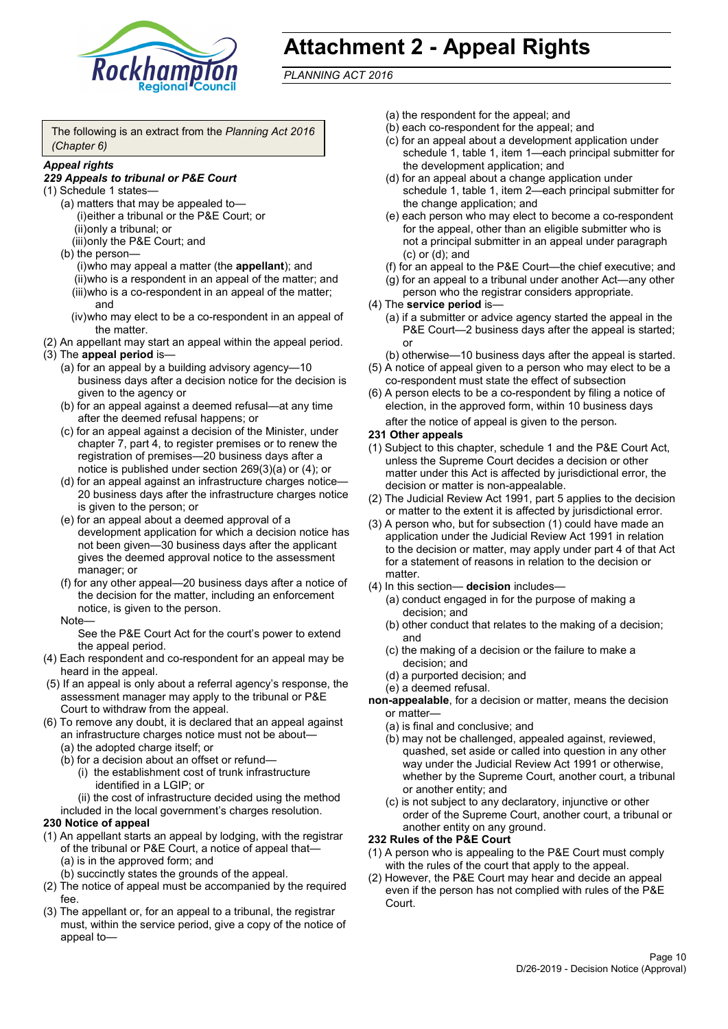

# **Attachment 2 - Appeal Rights**

*PLANNING ACT 2016*

The following is an extract from the *Planning Act 2016 (Chapter 6)*

#### *Appeal rights*

#### *229 Appeals to tribunal or P&E Court*

- (1) Schedule 1 states—
	- (a) matters that may be appealed to— (i)either a tribunal or the P&E Court; or (ii)only a tribunal; or (iii)only the P&E Court; and
	- (b) the person—

(i)who may appeal a matter (the **appellant**); and (ii)who is a respondent in an appeal of the matter; and (iii)who is a co-respondent in an appeal of the matter; and

- (iv)who may elect to be a co-respondent in an appeal of the matter.
- (2) An appellant may start an appeal within the appeal period.
- (3) The **appeal period** is—
	- (a) for an appeal by a building advisory agency—10 business days after a decision notice for the decision is given to the agency or
	- (b) for an appeal against a deemed refusal—at any time after the deemed refusal happens; or
	- (c) for an appeal against a decision of the Minister, under chapter 7, part 4, to register premises or to renew the registration of premises—20 business days after a notice is published under section 269(3)(a) or (4); or
	- (d) for an appeal against an infrastructure charges notice— 20 business days after the infrastructure charges notice is given to the person; or
	- (e) for an appeal about a deemed approval of a development application for which a decision notice has not been given—30 business days after the applicant gives the deemed approval notice to the assessment manager; or
	- (f) for any other appeal—20 business days after a notice of the decision for the matter, including an enforcement notice, is given to the person.

#### Note—

See the P&E Court Act for the court's power to extend the appeal period.

- (4) Each respondent and co-respondent for an appeal may be heard in the appeal.
- (5) If an appeal is only about a referral agency's response, the assessment manager may apply to the tribunal or P&E Court to withdraw from the appeal.
- (6) To remove any doubt, it is declared that an appeal against an infrastructure charges notice must not be about—
	- (a) the adopted charge itself; or
	- (b) for a decision about an offset or refund—
		- (i) the establishment cost of trunk infrastructure identified in a LGIP; or
		- (ii) the cost of infrastructure decided using the method

included in the local government's charges resolution.

- **230 Notice of appeal**
- (1) An appellant starts an appeal by lodging, with the registrar of the tribunal or P&E Court, a notice of appeal that—
	- (a) is in the approved form; and
	- (b) succinctly states the grounds of the appeal.
- (2) The notice of appeal must be accompanied by the required fee.
- (3) The appellant or, for an appeal to a tribunal, the registrar must, within the service period, give a copy of the notice of appeal to—
- (a) the respondent for the appeal; and
- (b) each co-respondent for the appeal; and
- (c) for an appeal about a development application under schedule 1, table 1, item 1—each principal submitter for the development application; and
- (d) for an appeal about a change application under schedule 1, table 1, item 2—each principal submitter for the change application; and
- (e) each person who may elect to become a co-respondent for the appeal, other than an eligible submitter who is not a principal submitter in an appeal under paragraph (c) or (d); and
- (f) for an appeal to the P&E Court—the chief executive; and
- (g) for an appeal to a tribunal under another Act—any other person who the registrar considers appropriate.
- (4) The **service period** is—
	- (a) if a submitter or advice agency started the appeal in the P&E Court—2 business days after the appeal is started; or
	- (b) otherwise—10 business days after the appeal is started.
- (5) A notice of appeal given to a person who may elect to be a co-respondent must state the effect of subsection
- (6) A person elects to be a co-respondent by filing a notice of election, in the approved form, within 10 business days after the notice of appeal is given to the person*.*
- **231 Other appeals**
- (1) Subject to this chapter, schedule 1 and the P&E Court Act, unless the Supreme Court decides a decision or other matter under this Act is affected by jurisdictional error, the decision or matter is non-appealable.
- (2) The Judicial Review Act 1991, part 5 applies to the decision or matter to the extent it is affected by jurisdictional error.
- (3) A person who, but for subsection (1) could have made an application under the Judicial Review Act 1991 in relation to the decision or matter, may apply under part 4 of that Act for a statement of reasons in relation to the decision or matter.
- (4) In this section— **decision** includes—
	- (a) conduct engaged in for the purpose of making a decision; and
	- (b) other conduct that relates to the making of a decision; and
	- (c) the making of a decision or the failure to make a decision; and
	- (d) a purported decision; and
	- (e) a deemed refusal.

**non-appealable**, for a decision or matter, means the decision or matter—

- (a) is final and conclusive; and
- (b) may not be challenged, appealed against, reviewed, quashed, set aside or called into question in any other way under the Judicial Review Act 1991 or otherwise, whether by the Supreme Court, another court, a tribunal or another entity; and
- (c) is not subject to any declaratory, injunctive or other order of the Supreme Court, another court, a tribunal or another entity on any ground.

#### **232 Rules of the P&E Court**

- (1) A person who is appealing to the P&E Court must comply with the rules of the court that apply to the appeal.
- (2) However, the P&E Court may hear and decide an appeal even if the person has not complied with rules of the P&E Court.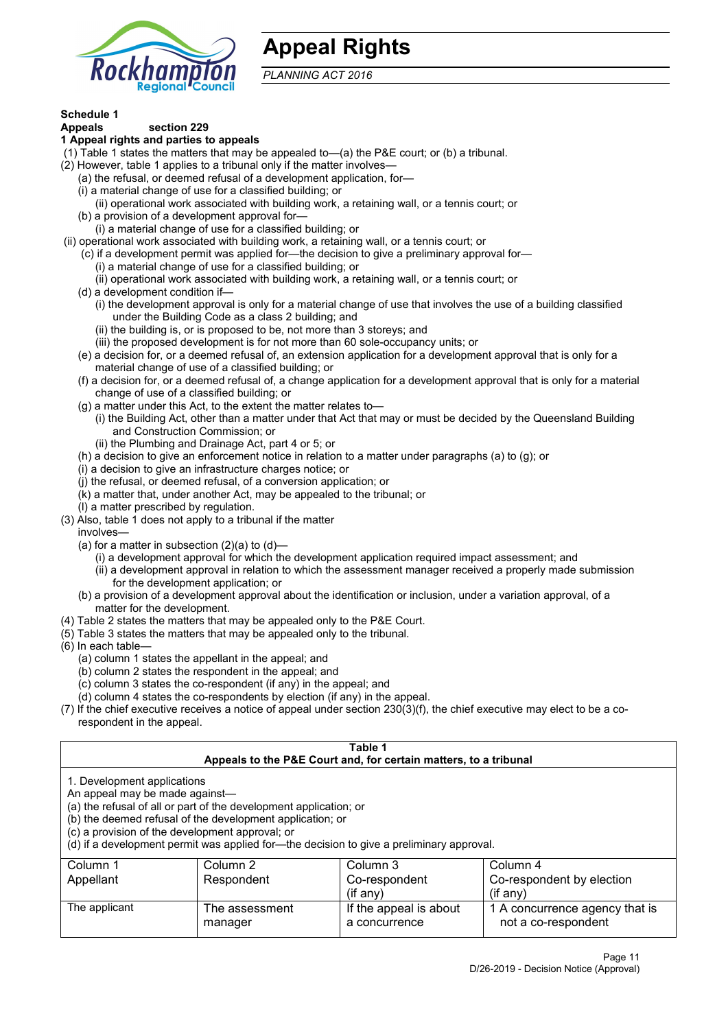

## **Appeal Rights**

*PLANNING ACT 2016*

## **Schedule 1**

#### **Appeals section 229 1 Appeal rights and parties to appeals**

- (1) Table 1 states the matters that may be appealed to—(a) the P&E court; or (b) a tribunal.
- (2) However, table 1 applies to a tribunal only if the matter involves—
	- (a) the refusal, or deemed refusal of a development application, for—
	- (i) a material change of use for a classified building; or
	- (ii) operational work associated with building work, a retaining wall, or a tennis court; or
	- (b) a provision of a development approval for—
	- (i) a material change of use for a classified building; or
- (ii) operational work associated with building work, a retaining wall, or a tennis court; or
	- (c) if a development permit was applied for—the decision to give a preliminary approval for—
		- (i) a material change of use for a classified building; or
		- (ii) operational work associated with building work, a retaining wall, or a tennis court; or
	- (d) a development condition if—
		- (i) the development approval is only for a material change of use that involves the use of a building classified under the Building Code as a class 2 building; and
		- (ii) the building is, or is proposed to be, not more than 3 storeys; and
		- (iii) the proposed development is for not more than 60 sole-occupancy units; or
	- (e) a decision for, or a deemed refusal of, an extension application for a development approval that is only for a material change of use of a classified building; or
	- (f) a decision for, or a deemed refusal of, a change application for a development approval that is only for a material change of use of a classified building; or
	- (g) a matter under this Act, to the extent the matter relates to—
		- (i) the Building Act, other than a matter under that Act that may or must be decided by the Queensland Building and Construction Commission; or
		- (ii) the Plumbing and Drainage Act, part 4 or 5; or
	- (h) a decision to give an enforcement notice in relation to a matter under paragraphs (a) to (g); or
	- (i) a decision to give an infrastructure charges notice; or
	- (j) the refusal, or deemed refusal, of a conversion application; or
	- (k) a matter that, under another Act, may be appealed to the tribunal; or
	- (l) a matter prescribed by regulation.
- (3) Also, table 1 does not apply to a tribunal if the matter

involves—

- (a) for a matter in subsection  $(2)(a)$  to  $(d)$ 
	- (i) a development approval for which the development application required impact assessment; and
	- (ii) a development approval in relation to which the assessment manager received a properly made submission for the development application; or
- (b) a provision of a development approval about the identification or inclusion, under a variation approval, of a matter for the development.
- (4) Table 2 states the matters that may be appealed only to the P&E Court.
- (5) Table 3 states the matters that may be appealed only to the tribunal.
- (6) In each table—
	- (a) column 1 states the appellant in the appeal; and
	- (b) column 2 states the respondent in the appeal; and
	- (c) column 3 states the co-respondent (if any) in the appeal; and
	- (d) column 4 states the co-respondents by election (if any) in the appeal.
- (7) If the chief executive receives a notice of appeal under section 230(3)(f), the chief executive may elect to be a corespondent in the appeal.

| Table 1                                                                                                          |                                                                                                                                                                                                                            |                                                                  |                                                       |  |  |
|------------------------------------------------------------------------------------------------------------------|----------------------------------------------------------------------------------------------------------------------------------------------------------------------------------------------------------------------------|------------------------------------------------------------------|-------------------------------------------------------|--|--|
|                                                                                                                  |                                                                                                                                                                                                                            | Appeals to the P&E Court and, for certain matters, to a tribunal |                                                       |  |  |
| 1. Development applications<br>An appeal may be made against-<br>(c) a provision of the development approval; or | (a) the refusal of all or part of the development application; or<br>(b) the deemed refusal of the development application; or<br>(d) if a development permit was applied for-the decision to give a preliminary approval. |                                                                  |                                                       |  |  |
| Column 1                                                                                                         | Column 2                                                                                                                                                                                                                   | Column 3                                                         | Column 4                                              |  |  |
| Appellant                                                                                                        | Co-respondent by election<br>Respondent<br>Co-respondent                                                                                                                                                                   |                                                                  |                                                       |  |  |
| $($ if any $)$<br>$($ if any $)$                                                                                 |                                                                                                                                                                                                                            |                                                                  |                                                       |  |  |
| The applicant                                                                                                    | The assessment<br>manager                                                                                                                                                                                                  | If the appeal is about<br>a concurrence                          | 1 A concurrence agency that is<br>not a co-respondent |  |  |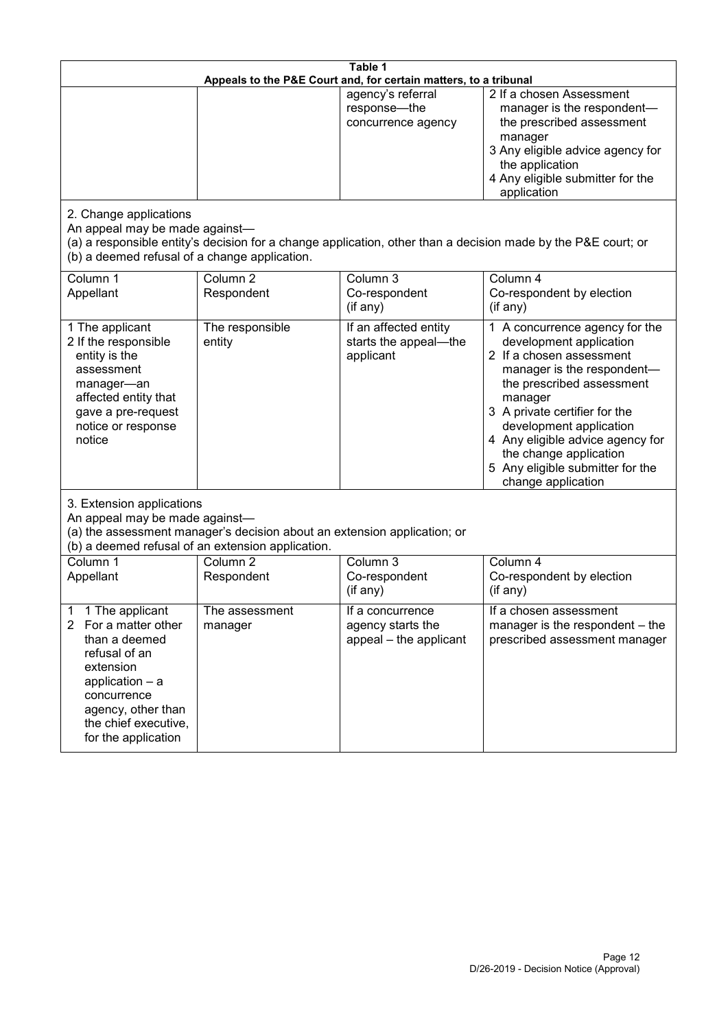| Table 1<br>Appeals to the P&E Court and, for certain matters, to a tribunal                                                                                                                                      |                                   |                                                                 |                                                                                                                                                                                                                                                                                                                                                 |  |
|------------------------------------------------------------------------------------------------------------------------------------------------------------------------------------------------------------------|-----------------------------------|-----------------------------------------------------------------|-------------------------------------------------------------------------------------------------------------------------------------------------------------------------------------------------------------------------------------------------------------------------------------------------------------------------------------------------|--|
|                                                                                                                                                                                                                  |                                   | agency's referral<br>response-the<br>concurrence agency         | 2 If a chosen Assessment<br>manager is the respondent-<br>the prescribed assessment<br>manager<br>3 Any eligible advice agency for<br>the application<br>4 Any eligible submitter for the<br>application                                                                                                                                        |  |
| 2. Change applications<br>An appeal may be made against-<br>(b) a deemed refusal of a change application.                                                                                                        |                                   |                                                                 | (a) a responsible entity's decision for a change application, other than a decision made by the P&E court; or                                                                                                                                                                                                                                   |  |
| Column 1<br>Appellant                                                                                                                                                                                            | Column <sub>2</sub><br>Respondent | Column 3<br>Co-respondent<br>(if any)                           | Column 4<br>Co-respondent by election<br>(if any)                                                                                                                                                                                                                                                                                               |  |
| 1 The applicant<br>2 If the responsible<br>entity is the<br>assessment<br>manager-an<br>affected entity that<br>gave a pre-request<br>notice or response<br>notice                                               | The responsible<br>entity         | If an affected entity<br>starts the appeal-the<br>applicant     | 1 A concurrence agency for the<br>development application<br>2 If a chosen assessment<br>manager is the respondent-<br>the prescribed assessment<br>manager<br>3 A private certifier for the<br>development application<br>4 Any eligible advice agency for<br>the change application<br>5 Any eligible submitter for the<br>change application |  |
| 3. Extension applications<br>An appeal may be made against-<br>(a) the assessment manager's decision about an extension application; or<br>(b) a deemed refusal of an extension application.                     |                                   |                                                                 |                                                                                                                                                                                                                                                                                                                                                 |  |
| Column 1<br>Appellant                                                                                                                                                                                            | Column <sub>2</sub><br>Respondent | Column 3<br>Co-respondent<br>(if any)                           | Column 4<br>Co-respondent by election<br>(if any)                                                                                                                                                                                                                                                                                               |  |
| 1 The applicant<br>1<br>For a matter other<br>$\mathbf{2}$<br>than a deemed<br>refusal of an<br>extension<br>application - a<br>concurrence<br>agency, other than<br>the chief executive,<br>for the application | The assessment<br>manager         | If a concurrence<br>agency starts the<br>appeal - the applicant | If a chosen assessment<br>manager is the respondent – the<br>prescribed assessment manager                                                                                                                                                                                                                                                      |  |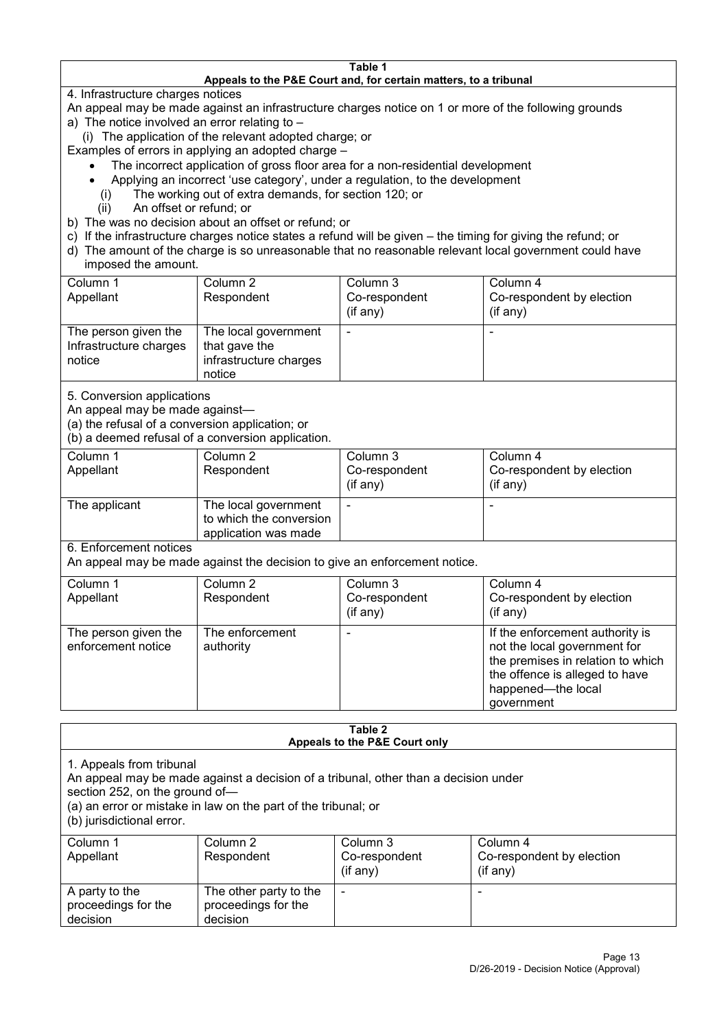#### **Table 1 Appeals to the P&E Court and, for certain matters, to a tribunal**

4. Infrastructure charges notices

- An appeal may be made against an infrastructure charges notice on 1 or more of the following grounds
- a) The notice involved an error relating to
	- (i) The application of the relevant adopted charge; or
- Examples of errors in applying an adopted charge
	- The incorrect application of gross floor area for a non-residential development
	- Applying an incorrect 'use category', under a regulation, to the development
	- (i) The working out of extra demands, for section 120; or
	- (ii) An offset or refund; or
- b) The was no decision about an offset or refund; or
- c) If the infrastructure charges notice states a refund will be given the timing for giving the refund; or
- d) The amount of the charge is so unreasonable that no reasonable relevant local government could have
- imposed the amount.

| Column 1                                                 | Column 2                                                                  | Column 3      | Column 4                  |
|----------------------------------------------------------|---------------------------------------------------------------------------|---------------|---------------------------|
| Appellant                                                | Respondent                                                                | Co-respondent | Co-respondent by election |
|                                                          |                                                                           | (if any)      | (if any)                  |
| The person given the<br>Infrastructure charges<br>notice | The local government<br>that gave the<br>infrastructure charges<br>notice |               | -                         |

5. Conversion applications

An appeal may be made against—

(a) the refusal of a conversion application; or

(b) a deemed refusal of a conversion application.

| Column 1<br>Appellant | Column 2<br>Respondent                                                  | Column 3<br>Co-respondent | Column 4<br>Co-respondent by election |
|-----------------------|-------------------------------------------------------------------------|---------------------------|---------------------------------------|
|                       |                                                                         | $($ if any $)$            | $(if$ any)                            |
| The applicant         | The local government<br>to which the conversion<br>application was made |                           |                                       |

6. Enforcement notices

An appeal may be made against the decision to give an enforcement notice.

| Column 1                                   | Column 2                     | Column 3      | Column 4                                                                                                                                                                   |
|--------------------------------------------|------------------------------|---------------|----------------------------------------------------------------------------------------------------------------------------------------------------------------------------|
| Appellant                                  | Respondent                   | Co-respondent | Co-respondent by election                                                                                                                                                  |
|                                            |                              | (if any)      | (if any)                                                                                                                                                                   |
| The person given the<br>enforcement notice | The enforcement<br>authority |               | If the enforcement authority is<br>not the local government for<br>the premises in relation to which<br>the offence is alleged to have<br>happened-the local<br>government |

#### **Table 2 Appeals to the P&E Court only**

1. Appeals from tribunal

An appeal may be made against a decision of a tribunal, other than a decision under

section 252, on the ground of—

(a) an error or mistake in law on the part of the tribunal; or

(b) jurisdictional error.

| Column 1<br>Appellant                             | Column 2<br>Respondent                                    | Column 3<br>Co-respondent<br>$($ if any $)$ | Column 4<br>Co-respondent by election<br>$($ if any $)$ |
|---------------------------------------------------|-----------------------------------------------------------|---------------------------------------------|---------------------------------------------------------|
| A party to the<br>proceedings for the<br>decision | The other party to the<br>proceedings for the<br>decision | -                                           |                                                         |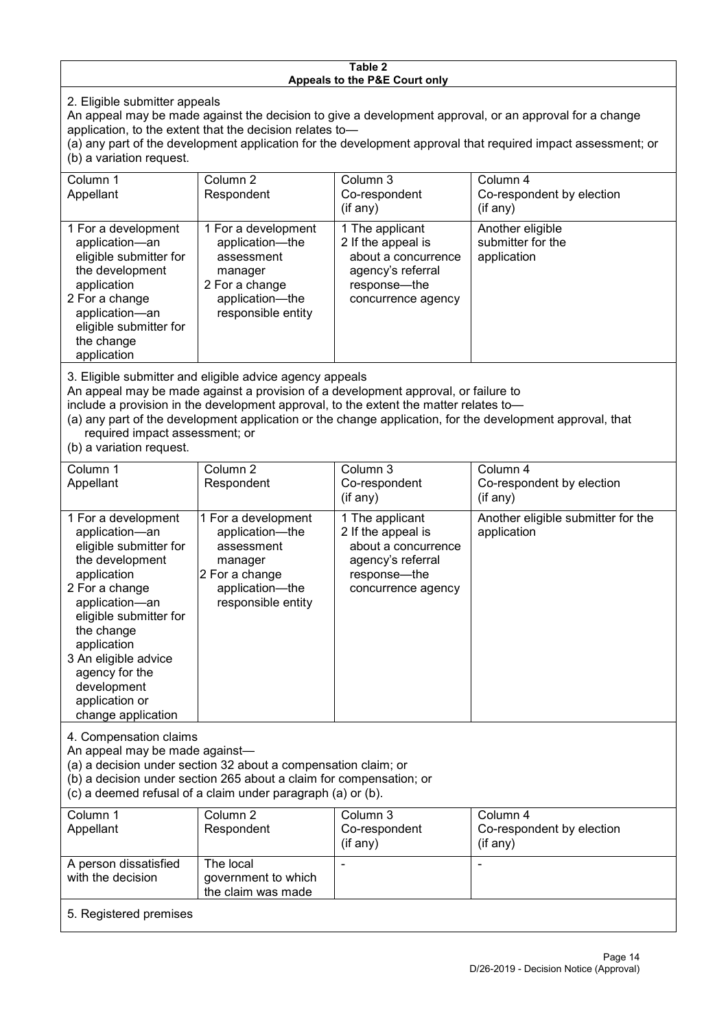#### **Table 2 Appeals to the P&E Court only**

2. Eligible submitter appeals

An appeal may be made against the decision to give a development approval, or an approval for a change application, to the extent that the decision relates to—

(a) any part of the development application for the development approval that required impact assessment; or (b) a variation request.

| Column 1<br>Appellant                                                                                                                                                                                                                                                                                                                                                                  | Column 2<br>Respondent                                                                                                     | Column 3<br>Co-respondent<br>$($ if any $)$                                                                             | Column 4<br>Co-respondent by election<br>(if any)    |  |
|----------------------------------------------------------------------------------------------------------------------------------------------------------------------------------------------------------------------------------------------------------------------------------------------------------------------------------------------------------------------------------------|----------------------------------------------------------------------------------------------------------------------------|-------------------------------------------------------------------------------------------------------------------------|------------------------------------------------------|--|
| 1 For a development<br>application-an<br>eligible submitter for<br>the development<br>application<br>2 For a change<br>application-an<br>eligible submitter for<br>the change<br>application                                                                                                                                                                                           | 1 For a development<br>application-the<br>assessment<br>manager<br>2 For a change<br>application-the<br>responsible entity | 1 The applicant<br>2 If the appeal is<br>about a concurrence<br>agency's referral<br>response-the<br>concurrence agency | Another eligible<br>submitter for the<br>application |  |
| 3. Eligible submitter and eligible advice agency appeals<br>An appeal may be made against a provision of a development approval, or failure to<br>include a provision in the development approval, to the extent the matter relates to-<br>(a) any part of the development application or the change application, for the development approval, that<br>required impact assessment; or |                                                                                                                            |                                                                                                                         |                                                      |  |

(b) a variation request.

| Column 1<br>Appellant                                                                                                                                                                                                                                                                         | Column <sub>2</sub><br>Respondent                                                                                          | Column 3<br>Co-respondent<br>(if any)                                                                                   | Column 4<br>Co-respondent by election<br>(if any) |  |
|-----------------------------------------------------------------------------------------------------------------------------------------------------------------------------------------------------------------------------------------------------------------------------------------------|----------------------------------------------------------------------------------------------------------------------------|-------------------------------------------------------------------------------------------------------------------------|---------------------------------------------------|--|
| 1 For a development<br>application-an<br>eligible submitter for<br>the development<br>application<br>2 For a change<br>application-an<br>eligible submitter for<br>the change<br>application<br>3 An eligible advice<br>agency for the<br>development<br>application or<br>change application | 1 For a development<br>application-the<br>assessment<br>manager<br>2 For a change<br>application-the<br>responsible entity | 1 The applicant<br>2 If the appeal is<br>about a concurrence<br>agency's referral<br>response—the<br>concurrence agency | Another eligible submitter for the<br>application |  |
| 4. Compensation claims<br>An appeal may be made against-<br>(a) a decision under section 32 about a compensation claim; or<br>(b) a decision under section 265 about a claim for compensation; or<br>(c) a deemed refusal of a claim under paragraph (a) or (b).                              |                                                                                                                            |                                                                                                                         |                                                   |  |
| Column 1                                                                                                                                                                                                                                                                                      | Column <sub>2</sub>                                                                                                        | Column 3                                                                                                                | Column 4                                          |  |
| Appellant                                                                                                                                                                                                                                                                                     | Respondent                                                                                                                 | Co-respondent<br>(if any)                                                                                               | Co-respondent by election<br>(if any)             |  |
| A person dissatisfied                                                                                                                                                                                                                                                                         | The local                                                                                                                  |                                                                                                                         |                                                   |  |

5. Registered premises

government to which the claim was made

with the decision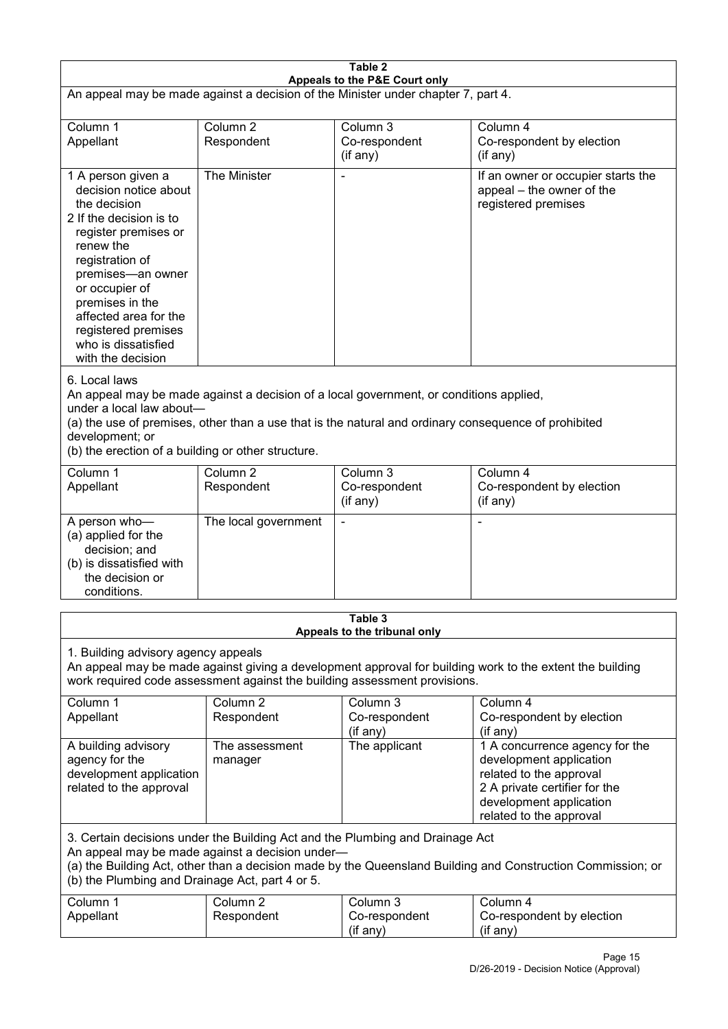| Table 2<br>Appeals to the P&E Court only                                                                                                                                                                                                                                                                             |                                   |                                         |                                                                                                                                                                             |  |
|----------------------------------------------------------------------------------------------------------------------------------------------------------------------------------------------------------------------------------------------------------------------------------------------------------------------|-----------------------------------|-----------------------------------------|-----------------------------------------------------------------------------------------------------------------------------------------------------------------------------|--|
| An appeal may be made against a decision of the Minister under chapter 7, part 4.                                                                                                                                                                                                                                    |                                   |                                         |                                                                                                                                                                             |  |
| Column 1<br>Appellant                                                                                                                                                                                                                                                                                                | Column <sub>2</sub><br>Respondent | Column 3<br>Co-respondent<br>(if any)   | Column $\overline{4}$<br>Co-respondent by election<br>(if any)                                                                                                              |  |
| 1 A person given a<br>decision notice about<br>the decision<br>2 If the decision is to<br>register premises or<br>renew the<br>registration of<br>premises-an owner<br>or occupier of<br>premises in the<br>affected area for the<br>registered premises<br>who is dissatisfied<br>with the decision                 | The Minister                      |                                         | If an owner or occupier starts the<br>appeal – the owner of the<br>registered premises                                                                                      |  |
| 6. Local laws<br>An appeal may be made against a decision of a local government, or conditions applied,<br>under a local law about-<br>(a) the use of premises, other than a use that is the natural and ordinary consequence of prohibited<br>development; or<br>(b) the erection of a building or other structure. |                                   |                                         |                                                                                                                                                                             |  |
| Column 1<br>Appellant                                                                                                                                                                                                                                                                                                | Column <sub>2</sub><br>Respondent | Column 3<br>Co-respondent<br>(if any)   | Column 4<br>Co-respondent by election<br>(if any)                                                                                                                           |  |
| A person who-<br>(a) applied for the<br>decision; and<br>(b) is dissatisfied with<br>the decision or<br>conditions.                                                                                                                                                                                                  | The local government              |                                         | L,                                                                                                                                                                          |  |
|                                                                                                                                                                                                                                                                                                                      |                                   | Table 3<br>Appeals to the tribunal only |                                                                                                                                                                             |  |
| 1. Building advisory agency appeals<br>An appeal may be made against giving a development approval for building work to the extent the building<br>work required code assessment against the building assessment provisions.                                                                                         |                                   |                                         |                                                                                                                                                                             |  |
| Column 1<br>Appellant                                                                                                                                                                                                                                                                                                | Column <sub>2</sub><br>Respondent | Column 3<br>Co-respondent<br>(if any)   | Column 4<br>Co-respondent by election<br>(if any)                                                                                                                           |  |
| A building advisory<br>agency for the<br>development application<br>related to the approval                                                                                                                                                                                                                          | The assessment<br>manager         | The applicant                           | 1 A concurrence agency for the<br>development application<br>related to the approval<br>2 A private certifier for the<br>development application<br>related to the approval |  |
| 3. Certain decisions under the Building Act and the Plumbing and Drainage Act<br>An appeal may be made against a decision under-<br>(a) the Building Act, other than a decision made by the Queensland Building and Construction Commission; or<br>(b) the Plumbing and Drainage Act, part 4 or 5.                   |                                   |                                         |                                                                                                                                                                             |  |
| Column 1<br>Appellant                                                                                                                                                                                                                                                                                                | Column <sub>2</sub><br>Respondent | Column 3<br>Co-respondent<br>(if any)   | Column 4<br>Co-respondent by election<br>(if any)                                                                                                                           |  |